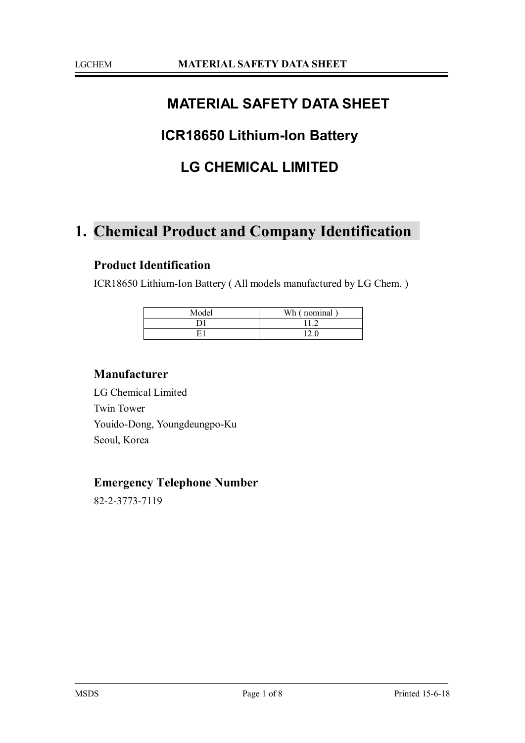## **MATERIAL SAFETY DATA SHEET**

## **ICR18650 Lithium-Ion Battery**

### **LG CHEMICAL LIMITED**

# **1. Chemical Product and Company Identification**

#### **Product Identification**

ICR18650 Lithium-Ion Battery ( All models manufactured by LG Chem. )

| Model | Wh (nominal |
|-------|-------------|
|       |             |
|       |             |

#### **Manufacturer**

LG Chemical Limited Twin Tower Youido-Dong, Youngdeungpo-Ku Seoul, Korea

#### **Emergency Telephone Number**

82-2-3773-7119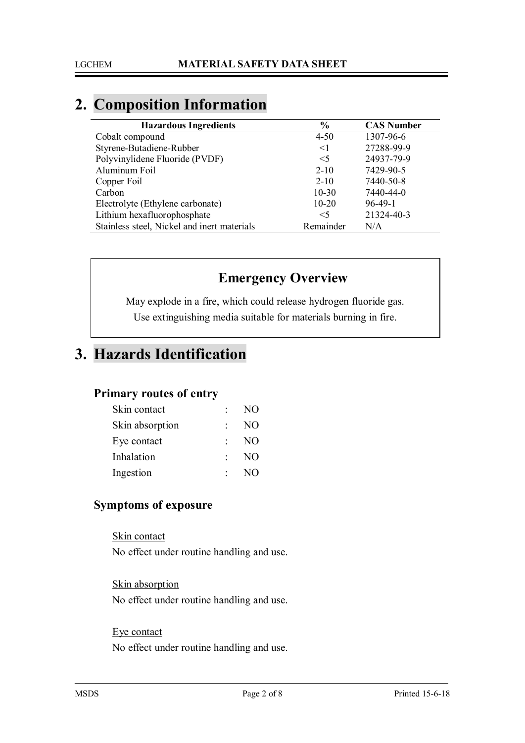# **2. Composition Information**

| <b>Hazardous Ingredients</b>                | $\frac{6}{6}$ | <b>CAS Number</b> |
|---------------------------------------------|---------------|-------------------|
| Cobalt compound                             | $4 - 50$      | 1307-96-6         |
| Styrene-Butadiene-Rubber                    | $\leq$ 1      | 27288-99-9        |
| Polyvinylidene Fluoride (PVDF)              | $\leq$ 5      | 24937-79-9        |
| Aluminum Foil                               | $2 - 10$      | 7429-90-5         |
| Copper Foil                                 | $2 - 10$      | 7440-50-8         |
| Carbon                                      | $10 - 30$     | 7440-44-0         |
| Electrolyte (Ethylene carbonate)            | $10-20$       | $96-49-1$         |
| Lithium hexafluorophosphate                 | $<$ 5         | 21324-40-3        |
| Stainless steel, Nickel and inert materials | Remainder     | N/A               |

### **Emergency Overview**

May explode in a fire, which could release hydrogen fluoride gas. Use extinguishing media suitable for materials burning in fire.

## **3. Hazards Identification**

#### **Primary routes of entry**

| Skin contact    | NO             |
|-----------------|----------------|
| Skin absorption | N <sub>O</sub> |
| Eye contact     | N <sub>O</sub> |
| Inhalation      | N <sub>O</sub> |
| Ingestion       | NO             |

### **Symptoms of exposure**

Skin contact No effect under routine handling and use.

Skin absorption No effect under routine handling and use.

#### Eye contact

No effect under routine handling and use.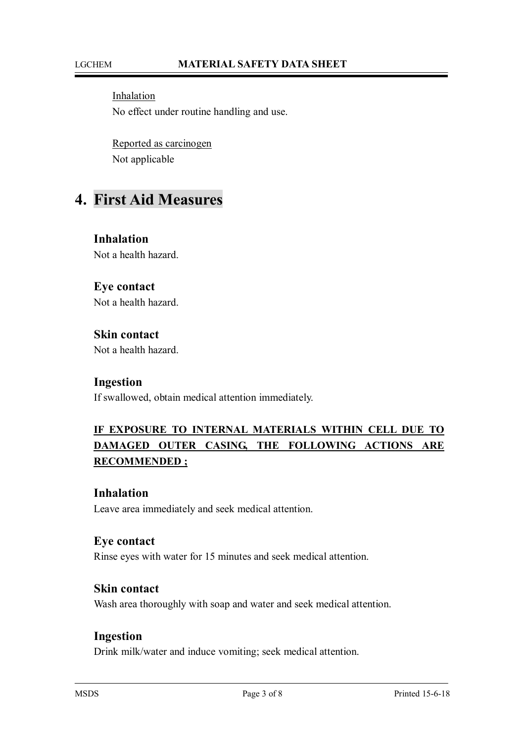Inhalation No effect under routine handling and use.

Reported as carcinogen Not applicable

### **4. First Aid Measures**

**Inhalation** Not a health hazard.

### **Eye contact**

Not a health hazard.

### **Skin contact**

Not a health hazard.

#### **Ingestion**

If swallowed, obtain medical attention immediately.

### **IF EXPOSURE TO INTERNAL MATERIALS WITHIN CELL DUE TO DAMAGED OUTER CASING, THE FOLLOWING ACTIONS ARE RECOMMENDED ;**

#### **Inhalation**

Leave area immediately and seek medical attention.

#### **Eye contact**

Rinse eyes with water for 15 minutes and seek medical attention.

#### **Skin contact**

Wash area thoroughly with soap and water and seek medical attention.

#### **Ingestion**

Drink milk/water and induce vomiting; seek medical attention.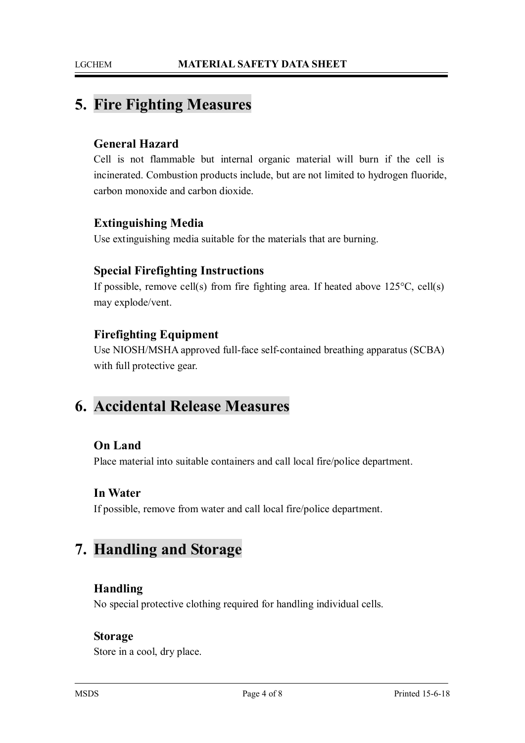## **5. Fire Fighting Measures**

#### **General Hazard**

Cell is not flammable but internal organic material will burn if the cell is incinerated. Combustion products include, but are not limited to hydrogen fluoride, carbon monoxide and carbon dioxide.

#### **Extinguishing Media**

Use extinguishing media suitable for the materials that are burning.

#### **Special Firefighting Instructions**

If possible, remove cell(s) from fire fighting area. If heated above  $125^{\circ}$ C, cell(s) may explode/vent.

#### **Firefighting Equipment**

Use NIOSH/MSHA approved full-face self-contained breathing apparatus (SCBA) with full protective gear.

## **6. Accidental Release Measures**

#### **On Land**

Place material into suitable containers and call local fire/police department.

#### **In Water**

If possible, remove from water and call local fire/police department.

## **7. Handling and Storage**

#### **Handling**

No special protective clothing required for handling individual cells.

#### **Storage**

Store in a cool, dry place.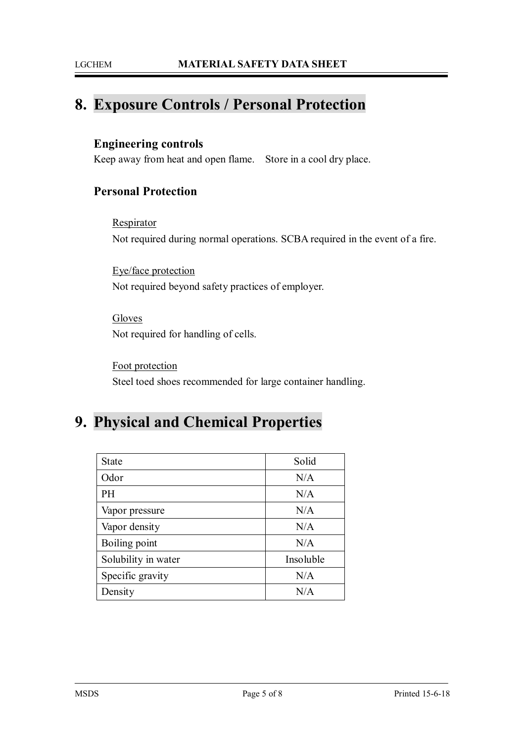## **8. Exposure Controls / Personal Protection**

#### **Engineering controls**

Keep away from heat and open flame. Store in a cool dry place.

### **Personal Protection**

**Respirator** Not required during normal operations. SCBA required in the event of a fire.

Eye/face protection Not required beyond safety practices of employer.

**Gloves** Not required for handling of cells.

Foot protection Steel toed shoes recommended for large container handling.

# **9. Physical and Chemical Properties**

| <b>State</b>        | Solid     |
|---------------------|-----------|
| Odor                | N/A       |
| PH                  | N/A       |
| Vapor pressure      | N/A       |
| Vapor density       | N/A       |
| Boiling point       | N/A       |
| Solubility in water | Insoluble |
| Specific gravity    | N/A       |
| Density             | N/A       |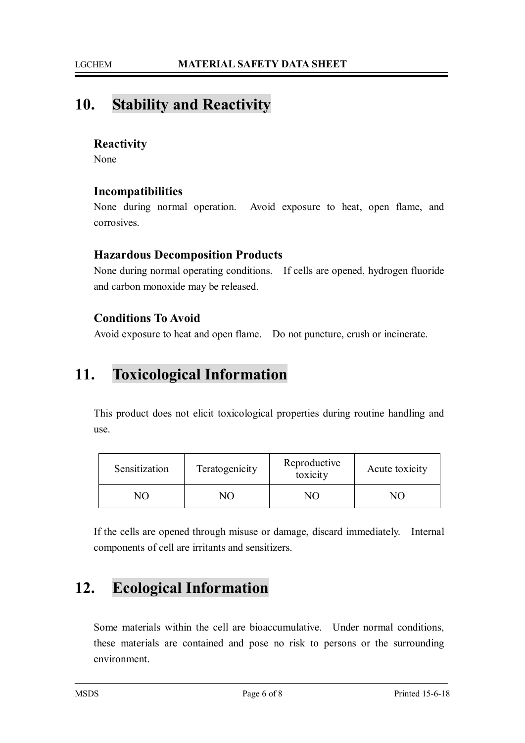# **10. Stability and Reactivity**

#### **Reactivity**

None

#### **Incompatibilities**

None during normal operation. Avoid exposure to heat, open flame, and corrosives.

#### **Hazardous Decomposition Products**

None during normal operating conditions. If cells are opened, hydrogen fluoride and carbon monoxide may be released.

### **Conditions To Avoid**

Avoid exposure to heat and open flame. Do not puncture, crush or incinerate.

# **11. Toxicological Information**

This product does not elicit toxicological properties during routine handling and use.

| Sensitization | Teratogenicity | Reproductive<br>toxicity | Acute toxicity |
|---------------|----------------|--------------------------|----------------|
| NN            | NС             |                          |                |

If the cells are opened through misuse or damage, discard immediately. Internal components of cell are irritants and sensitizers.

# **12. Ecological Information**

Some materials within the cell are bioaccumulative. Under normal conditions, these materials are contained and pose no risk to persons or the surrounding environment.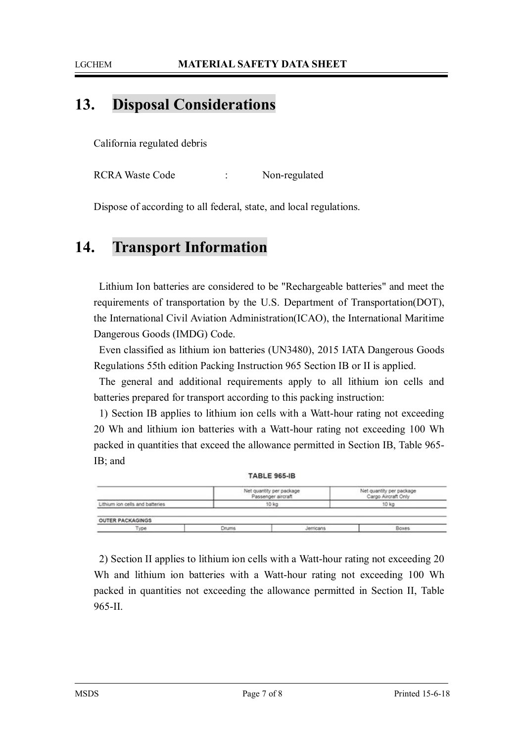#### LGCHEM **MATERIAL SAFETY DATA SHEET**

## **13. Disposal Considerations**

California regulated debris

RCRA Waste Code : Non-regulated

Dispose of according to all federal, state, and local regulations.

## **14. Transport Information**

Lithium Ion batteries are considered to be "Rechargeable batteries" and meet the requirements of transportation by the U.S. Department of Transportation(DOT), the International Civil Aviation Administration(ICAO), the International Maritime Dangerous Goods (IMDG) Code.

Even classified as lithium ion batteries (UN3480), 2015 IATA Dangerous Goods Regulations 55th edition Packing Instruction 965 Section IB or II is applied.

The general and additional requirements apply to all lithium ion cells and batteries prepared for transport according to this packing instruction:

1) Section IB applies to lithium ion cells with a Watt-hour rating not exceeding 20 Wh and lithium ion batteries with a Watt-hour rating not exceeding 100 Wh packed in quantities that exceed the allowance permitted in Section IB, Table 965- IB; and

|                                 |       | <b>TABLE 965-IB</b>                            |                                                 |
|---------------------------------|-------|------------------------------------------------|-------------------------------------------------|
|                                 |       | Net quantity per package<br>Passenger aircraft | Net quantity per package<br>Cargo Aircraft Only |
| Lithium ion cells and batteries |       | 10 kg                                          | 10 kg                                           |
| <b>OUTER PACKAGINGS</b>         |       |                                                |                                                 |
| Type                            | Drums | erricans                                       | Boxes                                           |

2) Section II applies to lithium ion cells with a Watt-hour rating not exceeding 20 Wh and lithium ion batteries with a Watt-hour rating not exceeding 100 Wh packed in quantities not exceeding the allowance permitted in Section II, Table 965-II.